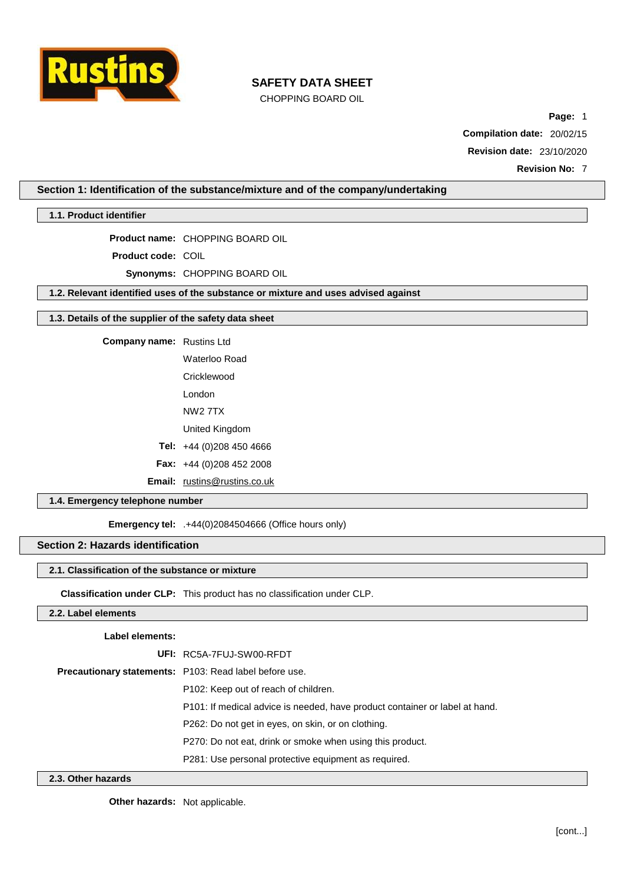

CHOPPING BOARD OIL

**Page:** 1 **Compilation date:** 20/02/15 **Revision date:** 23/10/2020

**Revision No:** 7

**Section 1: Identification of the substance/mixture and of the company/undertaking**

**1.1. Product identifier**

**Product name:** CHOPPING BOARD OIL

**Product code:** COIL

**Synonyms:** CHOPPING BOARD OIL

**1.2. Relevant identified uses of the substance or mixture and uses advised against**

#### **1.3. Details of the supplier of the safety data sheet**

**Company name:** Rustins Ltd

Waterloo Road

**Cricklewood** 

London

NW2 7TX

United Kingdom

**Tel:** +44 (0)208 450 4666

**Fax:** +44 (0)208 452 2008

**Email:** [rustins@rustins.co.uk](mailto:rustins@rustins.co.uk)

# **1.4. Emergency telephone number**

**Emergency tel:** .+44(0)2084504666 (Office hours only)

# **Section 2: Hazards identification**

## **2.1. Classification of the substance or mixture**

**Classification under CLP:** This product has no classification under CLP.

### **2.2. Label elements**

## **Label elements:**

| UFI: RC5A-7FUJ-SW00-RFDT                                                    |
|-----------------------------------------------------------------------------|
| Precautionary statements: P103: Read label before use.                      |
| P <sub>102</sub> : Keep out of reach of children.                           |
| P101: If medical advice is needed, have product container or label at hand. |
| P262: Do not get in eyes, on skin, or on clothing.                          |
| P270: Do not eat, drink or smoke when using this product.                   |
| P281: Use personal protective equipment as required.                        |

# **2.3. Other hazards**

**Other hazards:** Not applicable.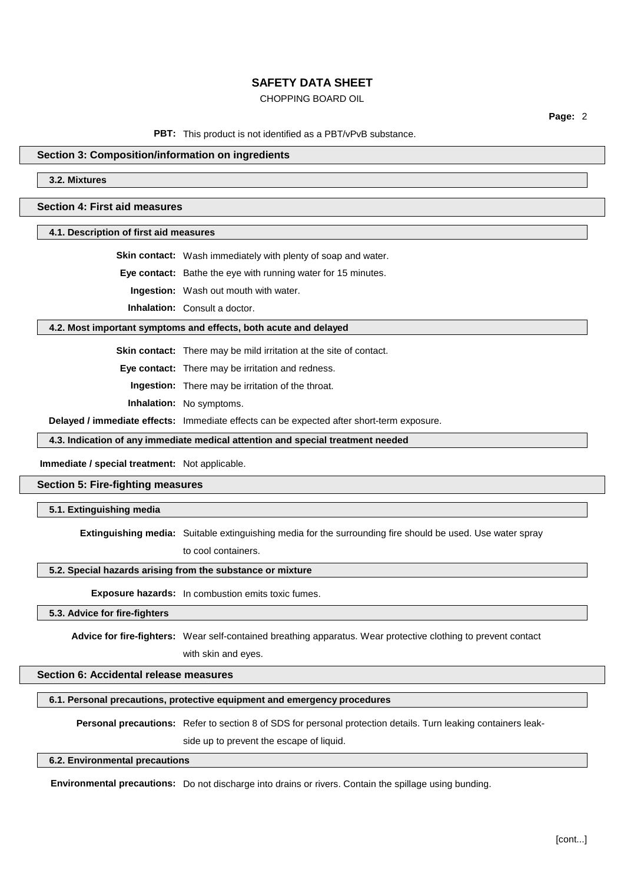# CHOPPING BOARD OIL

**Page:** 2

#### PBT: This product is not identified as a PBT/vPvB substance.

### **Section 3: Composition/information on ingredients**

**3.2. Mixtures**

**Section 4: First aid measures**

**4.1. Description of first aid measures**

**Skin contact:** Wash immediately with plenty of soap and water.

**Eye contact:** Bathe the eye with running water for 15 minutes.

**Ingestion:** Wash out mouth with water.

**Inhalation:** Consult a doctor.

#### **4.2. Most important symptoms and effects, both acute and delayed**

**Skin contact:** There may be mild irritation at the site of contact.

**Eye contact:** There may be irritation and redness.

**Ingestion:** There may be irritation of the throat.

**Inhalation:** No symptoms.

**Delayed / immediate effects:** Immediate effects can be expected after short-term exposure.

**4.3. Indication of any immediate medical attention and special treatment needed**

#### **Immediate / special treatment:** Not applicable.

**Section 5: Fire-fighting measures**

**5.1. Extinguishing media**

**Extinguishing media:** Suitable extinguishing media for the surrounding fire should be used. Use water spray to cool containers.

#### **5.2. Special hazards arising from the substance or mixture**

**Exposure hazards:** In combustion emits toxic fumes.

**5.3. Advice for fire-fighters**

**Advice for fire-fighters:** Wear self-contained breathing apparatus. Wear protective clothing to prevent contact

with skin and eyes.

**Section 6: Accidental release measures**

#### **6.1. Personal precautions, protective equipment and emergency procedures**

**Personal precautions:** Refer to section 8 of SDS for personal protection details. Turn leaking containers leak-

side up to prevent the escape of liquid.

#### **6.2. Environmental precautions**

**Environmental precautions:** Do not discharge into drains or rivers. Contain the spillage using bunding.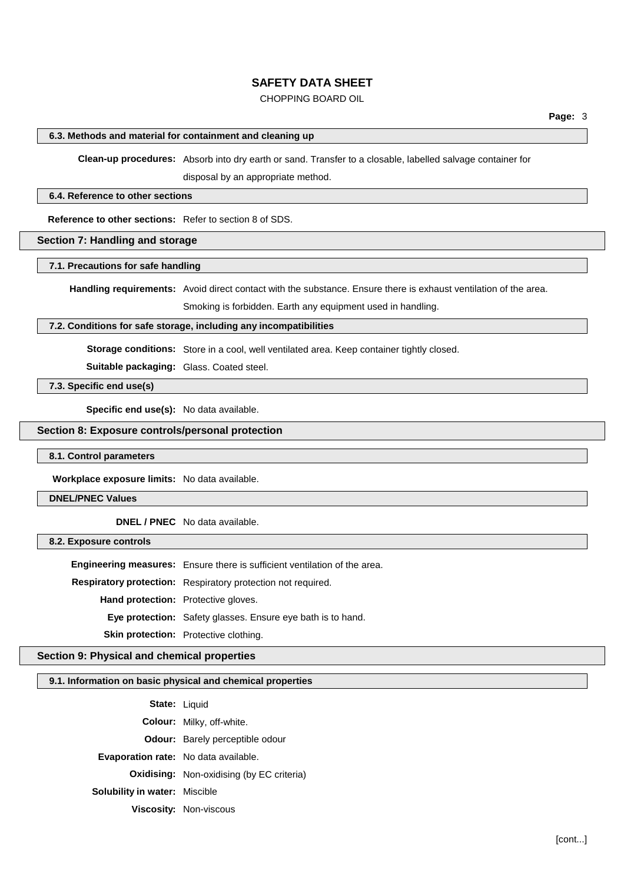# CHOPPING BOARD OIL

### **6.3. Methods and material for containment and cleaning up**

**Clean-up procedures:** Absorb into dry earth or sand. Transfer to a closable, labelled salvage container for

disposal by an appropriate method.

### **6.4. Reference to other sections**

**Reference to other sections:** Refer to section 8 of SDS.

## **Section 7: Handling and storage**

## **7.1. Precautions for safe handling**

**Handling requirements:** Avoid direct contact with the substance. Ensure there is exhaust ventilation of the area.

Smoking is forbidden. Earth any equipment used in handling.

## **7.2. Conditions for safe storage, including any incompatibilities**

**Storage conditions:** Store in a cool, well ventilated area. Keep container tightly closed.

**Suitable packaging:** Glass. Coated steel.

**7.3. Specific end use(s)**

**Specific end use(s):** No data available.

# **Section 8: Exposure controls/personal protection**

#### **8.1. Control parameters**

**Workplace exposure limits:** No data available.

#### **DNEL/PNEC Values**

# **DNEL / PNEC** No data available.

#### **8.2. Exposure controls**

**Engineering measures:** Ensure there is sufficient ventilation of the area. **Respiratory protection:** Respiratory protection not required. **Hand protection:** Protective gloves. **Eye protection:** Safety glasses. Ensure eye bath is to hand. **Skin protection:** Protective clothing.

### **Section 9: Physical and chemical properties**

#### **9.1. Information on basic physical and chemical properties**

|                                             | <b>State: Liquid</b>                             |
|---------------------------------------------|--------------------------------------------------|
|                                             | <b>Colour:</b> Milky, off-white.                 |
|                                             | <b>Odour:</b> Barely perceptible odour           |
| <b>Evaporation rate:</b> No data available. |                                                  |
|                                             | <b>Oxidising:</b> Non-oxidising (by EC criteria) |
| <b>Solubility in water: Miscible</b>        |                                                  |
|                                             | <b>Viscosity: Non-viscous</b>                    |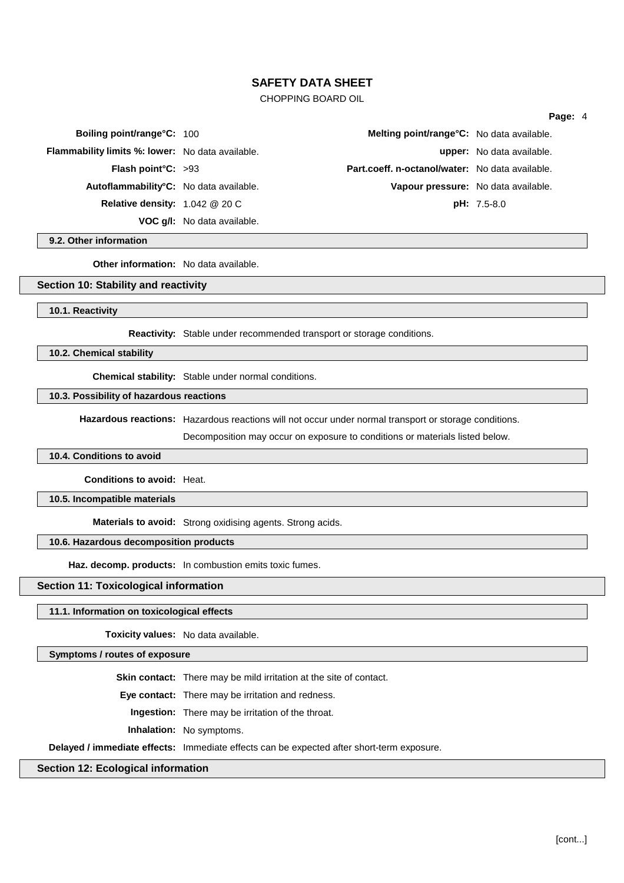# CHOPPING BOARD OIL

#### **Page:** 4

| <b>Boiling point/range°C: 100</b>                       |                                                 | Melting point/range°C: No data available. |
|---------------------------------------------------------|-------------------------------------------------|-------------------------------------------|
| <b>Flammability limits %: lower:</b> No data available. |                                                 | upper: No data available.                 |
| <b>Flash point °C:</b> $>93$                            | Part.coeff. n-octanol/water: No data available. |                                           |
| Autoflammability°C: No data available.                  |                                                 | Vapour pressure: No data available.       |
| Relative density: $1.042 \& 20 \text{ C}$               |                                                 | $pH: 7.5-8.0$                             |
|                                                         | <b>VOC g/l:</b> No data available.              |                                           |

**9.2. Other information**

**Other information:** No data available.

### **Section 10: Stability and reactivity**

**10.1. Reactivity**

**Reactivity:** Stable under recommended transport or storage conditions.

**10.2. Chemical stability**

**Chemical stability:** Stable under normal conditions.

### **10.3. Possibility of hazardous reactions**

**Hazardous reactions:** Hazardous reactions will not occur under normal transport or storage conditions.

Decomposition may occur on exposure to conditions or materials listed below.

#### **10.4. Conditions to avoid**

**Conditions to avoid:** Heat.

**10.5. Incompatible materials**

**Materials to avoid:** Strong oxidising agents. Strong acids.

#### **10.6. Hazardous decomposition products**

**Haz. decomp. products:** In combustion emits toxic fumes.

**Section 11: Toxicological information**

#### **11.1. Information on toxicological effects**

**Toxicity values:** No data available.

## **Symptoms / routes of exposure**

**Skin contact:** There may be mild irritation at the site of contact.

**Eye contact:** There may be irritation and redness.

**Ingestion:** There may be irritation of the throat.

**Inhalation:** No symptoms.

**Delayed / immediate effects:** Immediate effects can be expected after short-term exposure.

# **Section 12: Ecological information**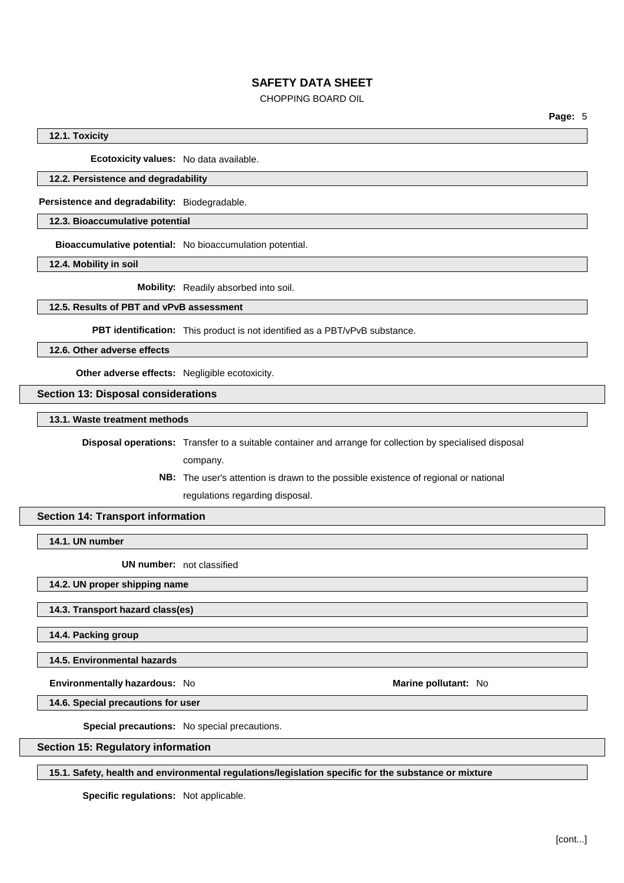# CHOPPING BOARD OIL

**Page:** 5

### **12.1. Toxicity**

**Ecotoxicity values:** No data available.

#### **12.2. Persistence and degradability**

**Persistence and degradability:** Biodegradable.

# **12.3. Bioaccumulative potential**

**Bioaccumulative potential:** No bioaccumulation potential.

**12.4. Mobility in soil**

**Mobility:** Readily absorbed into soil.

### **12.5. Results of PBT and vPvB assessment**

**PBT identification:** This product is not identified as a PBT/vPvB substance.

**12.6. Other adverse effects**

**Other adverse effects:** Negligible ecotoxicity.

**Section 13: Disposal considerations**

**13.1. Waste treatment methods**

**Disposal operations:** Transfer to a suitable container and arrange for collection by specialised disposal

company.

**NB:** The user's attention is drawn to the possible existence of regional or national regulations regarding disposal.

## **Section 14: Transport information**

**14.1. UN number**

**UN number:** not classified

**14.2. UN proper shipping name**

**14.3. Transport hazard class(es)**

**14.4. Packing group**

**14.5. Environmental hazards**

**Environmentally hazardous:** No **Marine Marine Marine** pollutant: No

**14.6. Special precautions for user**

**Special precautions:** No special precautions.

**Section 15: Regulatory information**

**15.1. Safety, health and environmental regulations/legislation specific for the substance or mixture**

**Specific regulations:** Not applicable.